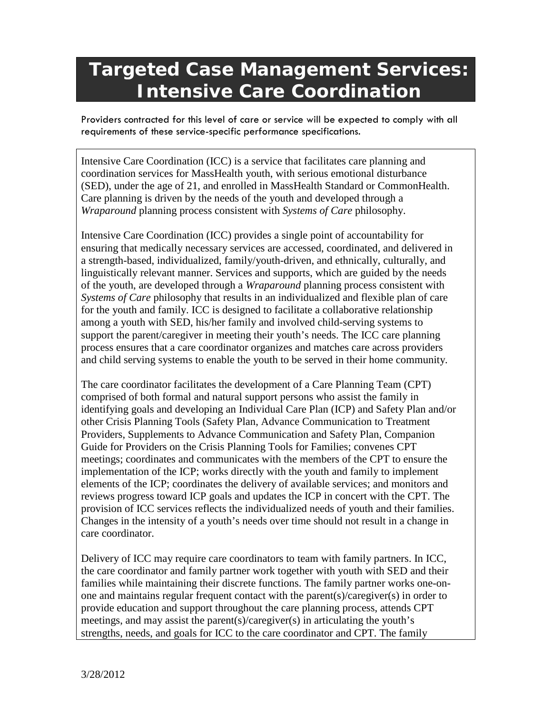## **Targeted Case Management Services: Intensive Care Coordination**

Providers contracted for this level of care or service will be expected to comply with all requirements of these service-specific performance specifications.

Intensive Care Coordination (ICC) is a service that facilitates care planning and coordination services for MassHealth youth, with serious emotional disturbance (SED), under the age of 21, and enrolled in MassHealth Standard or CommonHealth. Care planning is driven by the needs of the youth and developed through a *Wraparound* planning process consistent with *Systems of Care* philosophy.

Intensive Care Coordination (ICC) provides a single point of accountability for ensuring that medically necessary services are accessed, coordinated, and delivered in a strength-based, individualized, family/youth-driven, and ethnically, culturally, and linguistically relevant manner. Services and supports, which are guided by the needs of the youth, are developed through a *Wraparound* planning process consistent with *Systems of Care* philosophy that results in an individualized and flexible plan of care for the youth and family. ICC is designed to facilitate a collaborative relationship among a youth with SED, his/her family and involved child-serving systems to support the parent/caregiver in meeting their youth's needs. The ICC care planning process ensures that a care coordinator organizes and matches care across providers and child serving systems to enable the youth to be served in their home community.

The care coordinator facilitates the development of a Care Planning Team (CPT) comprised of both formal and natural support persons who assist the family in identifying goals and developing an Individual Care Plan (ICP) and Safety Plan and/or other Crisis Planning Tools (Safety Plan, Advance Communication to Treatment Providers, Supplements to Advance Communication and Safety Plan, Companion Guide for Providers on the Crisis Planning Tools for Families; convenes CPT meetings; coordinates and communicates with the members of the CPT to ensure the implementation of the ICP; works directly with the youth and family to implement elements of the ICP; coordinates the delivery of available services; and monitors and reviews progress toward ICP goals and updates the ICP in concert with the CPT. The provision of ICC services reflects the individualized needs of youth and their families. Changes in the intensity of a youth's needs over time should not result in a change in care coordinator.

Delivery of ICC may require care coordinators to team with family partners. In ICC, the care coordinator and family partner work together with youth with SED and their families while maintaining their discrete functions. The family partner works one-onone and maintains regular frequent contact with the parent(s)/caregiver(s) in order to provide education and support throughout the care planning process, attends CPT meetings, and may assist the parent(s)/caregiver(s) in articulating the youth's strengths, needs, and goals for ICC to the care coordinator and CPT. The family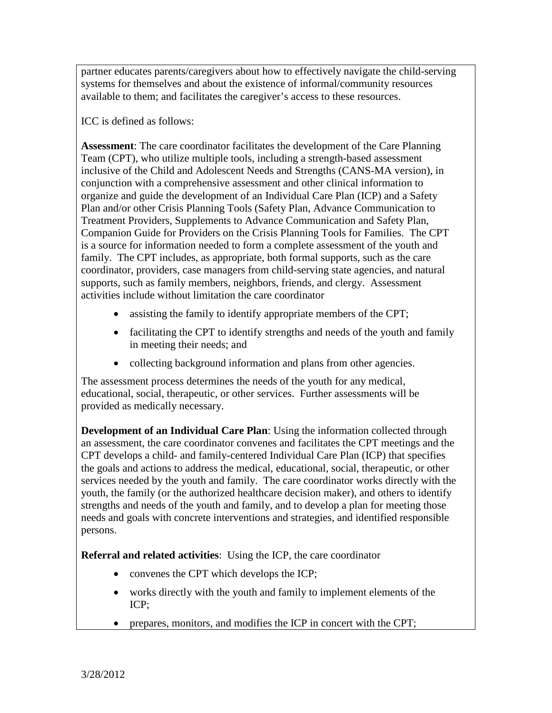partner educates parents/caregivers about how to effectively navigate the child-serving systems for themselves and about the existence of informal/community resources available to them; and facilitates the caregiver's access to these resources.

ICC is defined as follows:

 **Assessment**: The care coordinator facilitates the development of the Care Planning Team (CPT), who utilize multiple tools, including a strength-based assessment inclusive of the Child and Adolescent Needs and Strengths (CANS-MA version), in conjunction with a comprehensive assessment and other clinical information to organize and guide the development of an Individual Care Plan (ICP) and a Safety Plan and/or other Crisis Planning Tools (Safety Plan, Advance Communication to Treatment Providers, Supplements to Advance Communication and Safety Plan, Companion Guide for Providers on the Crisis Planning Tools for Families. The CPT is a source for information needed to form a complete assessment of the youth and family. The CPT includes, as appropriate, both formal supports, such as the care coordinator, providers, case managers from child-serving state agencies, and natural supports, such as family members, neighbors, friends, and clergy. Assessment activities include without limitation the care coordinator

- assisting the family to identify appropriate members of the CPT;
- facilitating the CPT to identify strengths and needs of the youth and family in meeting their needs; and
- collecting background information and plans from other agencies.

The assessment process determines the needs of the youth for any medical, educational, social, therapeutic, or other services. Further assessments will be provided as medically necessary.

 **Development of an Individual Care Plan**: Using the information collected through an assessment, the care coordinator convenes and facilitates the CPT meetings and the CPT develops a child- and family-centered Individual Care Plan (ICP) that specifies the goals and actions to address the medical, educational, social, therapeutic, or other services needed by the youth and family. The care coordinator works directly with the youth, the family (or the authorized healthcare decision maker), and others to identify strengths and needs of the youth and family, and to develop a plan for meeting those needs and goals with concrete interventions and strategies, and identified responsible persons.

**Referral and related activities**: Using the ICP, the care coordinator

- convenes the CPT which develops the ICP;
- works directly with the youth and family to implement elements of the ICP;
- prepares, monitors, and modifies the ICP in concert with the CPT;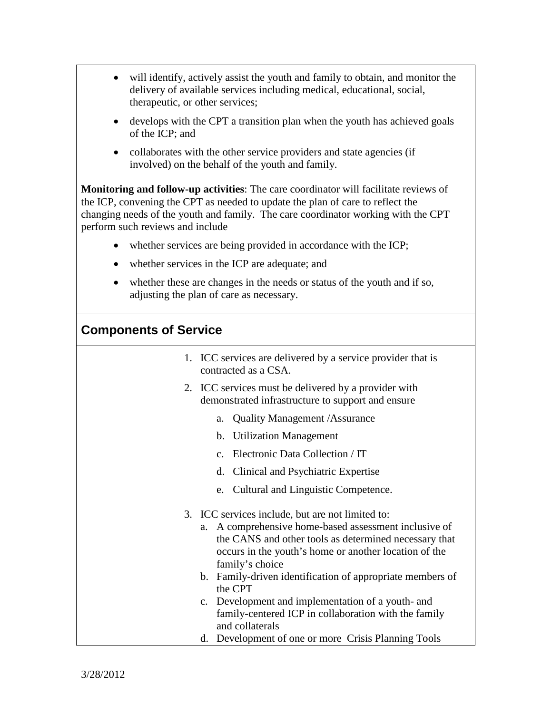- will identify, actively assist the youth and family to obtain, and monitor the delivery of available services including medical, educational, social, therapeutic, or other services;
- develops with the CPT a transition plan when the youth has achieved goals of the ICP; and
- collaborates with the other service providers and state agencies (if involved) on the behalf of the youth and family.

 **Monitoring and follow-up activities**: The care coordinator will facilitate reviews of the ICP, convening the CPT as needed to update the plan of care to reflect the changing needs of the youth and family. The care coordinator working with the CPT perform such reviews and include

- whether services are being provided in accordance with the ICP;
- whether services in the ICP are adequate; and
- whether these are changes in the needs or status of the youth and if so, adjusting the plan of care as necessary.

## **Components of Service**

| 1. ICC services are delivered by a service provider that is<br>contracted as a CSA.                                                                                                        |
|--------------------------------------------------------------------------------------------------------------------------------------------------------------------------------------------|
| 2. ICC services must be delivered by a provider with<br>demonstrated infrastructure to support and ensure                                                                                  |
| a. Quality Management / Assurance                                                                                                                                                          |
| b. Utilization Management                                                                                                                                                                  |
| c. Electronic Data Collection / IT                                                                                                                                                         |
| d. Clinical and Psychiatric Expertise                                                                                                                                                      |
| e. Cultural and Linguistic Competence.                                                                                                                                                     |
| 3. ICC services include, but are not limited to:                                                                                                                                           |
| a. A comprehensive home-based assessment inclusive of<br>the CANS and other tools as determined necessary that<br>occurs in the youth's home or another location of the<br>family's choice |
| b. Family-driven identification of appropriate members of<br>the CPT                                                                                                                       |
| c. Development and implementation of a youth- and<br>family-centered ICP in collaboration with the family<br>and collaterals                                                               |
| d. Development of one or more Crisis Planning Tools                                                                                                                                        |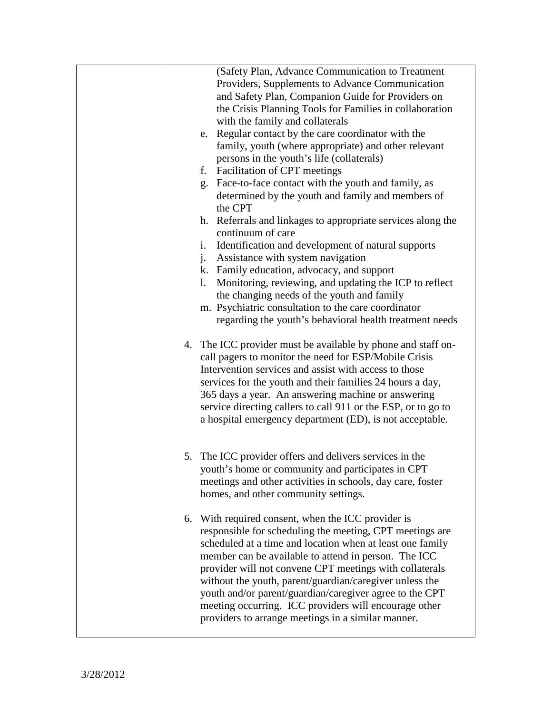|  | (Safety Plan, Advance Communication to Treatment<br>Providers, Supplements to Advance Communication                                                                                                                                                                                                                                                                                                                                                                                                                                 |
|--|-------------------------------------------------------------------------------------------------------------------------------------------------------------------------------------------------------------------------------------------------------------------------------------------------------------------------------------------------------------------------------------------------------------------------------------------------------------------------------------------------------------------------------------|
|  | and Safety Plan, Companion Guide for Providers on                                                                                                                                                                                                                                                                                                                                                                                                                                                                                   |
|  | the Crisis Planning Tools for Families in collaboration                                                                                                                                                                                                                                                                                                                                                                                                                                                                             |
|  | with the family and collaterals<br>e. Regular contact by the care coordinator with the                                                                                                                                                                                                                                                                                                                                                                                                                                              |
|  | family, youth (where appropriate) and other relevant                                                                                                                                                                                                                                                                                                                                                                                                                                                                                |
|  | persons in the youth's life (collaterals)                                                                                                                                                                                                                                                                                                                                                                                                                                                                                           |
|  | f.<br><b>Facilitation of CPT meetings</b>                                                                                                                                                                                                                                                                                                                                                                                                                                                                                           |
|  | Face-to-face contact with the youth and family, as<br>g.<br>determined by the youth and family and members of<br>the CPT                                                                                                                                                                                                                                                                                                                                                                                                            |
|  | h. Referrals and linkages to appropriate services along the<br>continuum of care                                                                                                                                                                                                                                                                                                                                                                                                                                                    |
|  | Identification and development of natural supports<br>i.                                                                                                                                                                                                                                                                                                                                                                                                                                                                            |
|  | Assistance with system navigation<br>j.                                                                                                                                                                                                                                                                                                                                                                                                                                                                                             |
|  | k. Family education, advocacy, and support<br>Monitoring, reviewing, and updating the ICP to reflect<br>$\mathbf{l}$ .                                                                                                                                                                                                                                                                                                                                                                                                              |
|  | the changing needs of the youth and family                                                                                                                                                                                                                                                                                                                                                                                                                                                                                          |
|  | m. Psychiatric consultation to the care coordinator                                                                                                                                                                                                                                                                                                                                                                                                                                                                                 |
|  | regarding the youth's behavioral health treatment needs                                                                                                                                                                                                                                                                                                                                                                                                                                                                             |
|  | 4. The ICC provider must be available by phone and staff on-<br>call pagers to monitor the need for ESP/Mobile Crisis<br>Intervention services and assist with access to those<br>services for the youth and their families 24 hours a day,<br>365 days a year. An answering machine or answering<br>service directing callers to call 911 or the ESP, or to go to<br>a hospital emergency department (ED), is not acceptable.                                                                                                      |
|  | 5. The ICC provider offers and delivers services in the                                                                                                                                                                                                                                                                                                                                                                                                                                                                             |
|  | youth's home or community and participates in CPT<br>meetings and other activities in schools, day care, foster<br>homes, and other community settings.                                                                                                                                                                                                                                                                                                                                                                             |
|  | 6. With required consent, when the ICC provider is<br>responsible for scheduling the meeting, CPT meetings are<br>scheduled at a time and location when at least one family<br>member can be available to attend in person. The ICC<br>provider will not convene CPT meetings with collaterals<br>without the youth, parent/guardian/caregiver unless the<br>youth and/or parent/guardian/caregiver agree to the CPT<br>meeting occurring. ICC providers will encourage other<br>providers to arrange meetings in a similar manner. |
|  |                                                                                                                                                                                                                                                                                                                                                                                                                                                                                                                                     |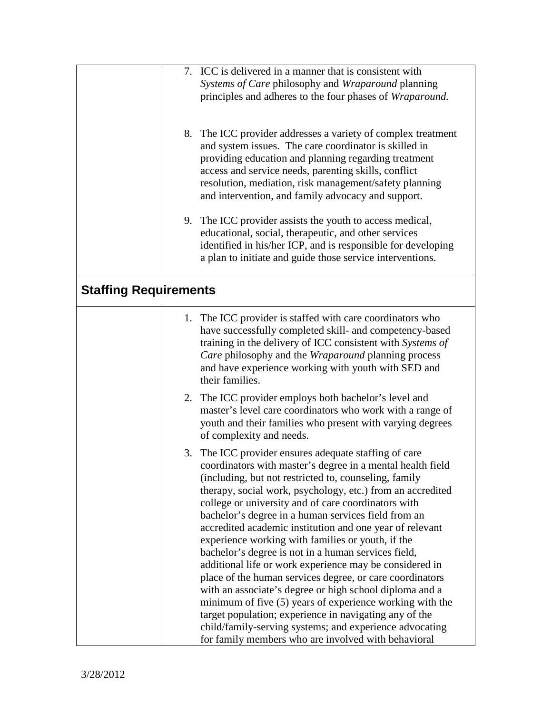|                              | 7. ICC is delivered in a manner that is consistent with<br>Systems of Care philosophy and Wraparound planning<br>principles and adheres to the four phases of Wraparound.                                                                                                                                                                                                                                                                                                                                                                                                                                                                                                                                                                                                                                                                                                                                                                                  |
|------------------------------|------------------------------------------------------------------------------------------------------------------------------------------------------------------------------------------------------------------------------------------------------------------------------------------------------------------------------------------------------------------------------------------------------------------------------------------------------------------------------------------------------------------------------------------------------------------------------------------------------------------------------------------------------------------------------------------------------------------------------------------------------------------------------------------------------------------------------------------------------------------------------------------------------------------------------------------------------------|
|                              | 8. The ICC provider addresses a variety of complex treatment<br>and system issues. The care coordinator is skilled in<br>providing education and planning regarding treatment<br>access and service needs, parenting skills, conflict<br>resolution, mediation, risk management/safety planning<br>and intervention, and family advocacy and support.                                                                                                                                                                                                                                                                                                                                                                                                                                                                                                                                                                                                      |
|                              | 9. The ICC provider assists the youth to access medical,<br>educational, social, therapeutic, and other services<br>identified in his/her ICP, and is responsible for developing<br>a plan to initiate and guide those service interventions.                                                                                                                                                                                                                                                                                                                                                                                                                                                                                                                                                                                                                                                                                                              |
| <b>Staffing Requirements</b> |                                                                                                                                                                                                                                                                                                                                                                                                                                                                                                                                                                                                                                                                                                                                                                                                                                                                                                                                                            |
|                              | 1. The ICC provider is staffed with care coordinators who<br>have successfully completed skill- and competency-based<br>training in the delivery of ICC consistent with Systems of<br>Care philosophy and the Wraparound planning process<br>and have experience working with youth with SED and<br>their families.                                                                                                                                                                                                                                                                                                                                                                                                                                                                                                                                                                                                                                        |
|                              | 2. The ICC provider employs both bachelor's level and<br>master's level care coordinators who work with a range of<br>youth and their families who present with varying degrees<br>of complexity and needs.                                                                                                                                                                                                                                                                                                                                                                                                                                                                                                                                                                                                                                                                                                                                                |
|                              | 3. The ICC provider ensures adequate staffing of care<br>coordinators with master's degree in a mental health field<br>(including, but not restricted to, counseling, family<br>therapy, social work, psychology, etc.) from an accredited<br>college or university and of care coordinators with<br>bachelor's degree in a human services field from an<br>accredited academic institution and one year of relevant<br>experience working with families or youth, if the<br>bachelor's degree is not in a human services field,<br>additional life or work experience may be considered in<br>place of the human services degree, or care coordinators<br>with an associate's degree or high school diploma and a<br>minimum of five (5) years of experience working with the<br>target population; experience in navigating any of the<br>child/family-serving systems; and experience advocating<br>for family members who are involved with behavioral |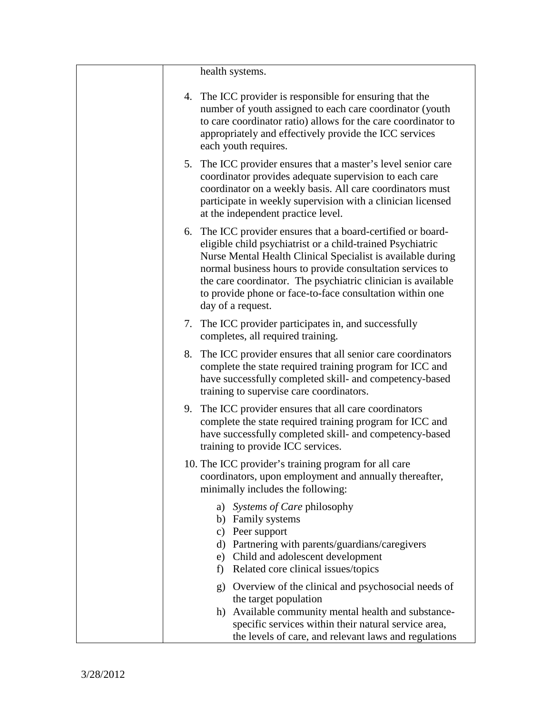| health systems.                                                                                                                                                                                                                                                                                                                                                                                         |
|---------------------------------------------------------------------------------------------------------------------------------------------------------------------------------------------------------------------------------------------------------------------------------------------------------------------------------------------------------------------------------------------------------|
| 4. The ICC provider is responsible for ensuring that the<br>number of youth assigned to each care coordinator (youth<br>to care coordinator ratio) allows for the care coordinator to<br>appropriately and effectively provide the ICC services<br>each youth requires.                                                                                                                                 |
| 5. The ICC provider ensures that a master's level senior care<br>coordinator provides adequate supervision to each care<br>coordinator on a weekly basis. All care coordinators must<br>participate in weekly supervision with a clinician licensed<br>at the independent practice level.                                                                                                               |
| 6. The ICC provider ensures that a board-certified or board-<br>eligible child psychiatrist or a child-trained Psychiatric<br>Nurse Mental Health Clinical Specialist is available during<br>normal business hours to provide consultation services to<br>the care coordinator. The psychiatric clinician is available<br>to provide phone or face-to-face consultation within one<br>day of a request. |
| 7. The ICC provider participates in, and successfully<br>completes, all required training.                                                                                                                                                                                                                                                                                                              |
| 8. The ICC provider ensures that all senior care coordinators<br>complete the state required training program for ICC and<br>have successfully completed skill- and competency-based<br>training to supervise care coordinators.                                                                                                                                                                        |
| 9. The ICC provider ensures that all care coordinators<br>complete the state required training program for ICC and<br>have successfully completed skill- and competency-based<br>training to provide ICC services.                                                                                                                                                                                      |
| 10. The ICC provider's training program for all care<br>coordinators, upon employment and annually thereafter,<br>minimally includes the following:                                                                                                                                                                                                                                                     |
| a) Systems of Care philosophy<br>b) Family systems<br>c) Peer support<br>d) Partnering with parents/guardians/caregivers<br>e) Child and adolescent development<br>Related core clinical issues/topics<br>f)                                                                                                                                                                                            |
| g) Overview of the clinical and psychosocial needs of<br>the target population<br>Available community mental health and substance-<br>h)<br>specific services within their natural service area,<br>the levels of care, and relevant laws and regulations                                                                                                                                               |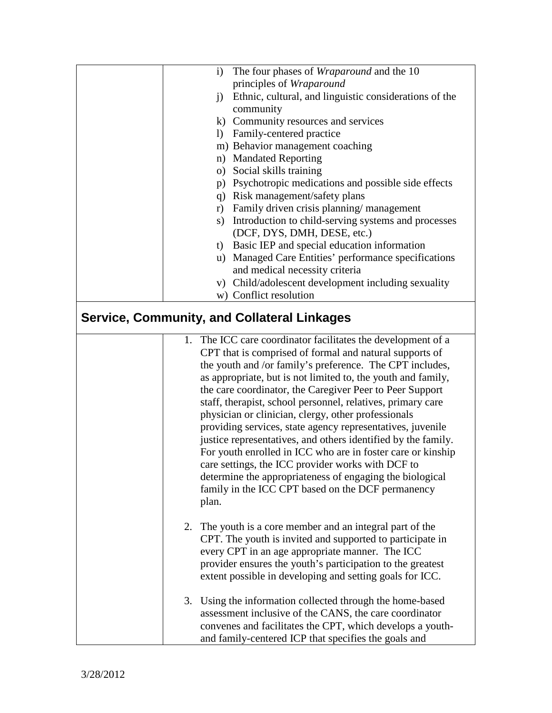| i) The four phases of <i>Wraparound</i> and the 10                                                                |
|-------------------------------------------------------------------------------------------------------------------|
| principles of Wraparound                                                                                          |
| Ethnic, cultural, and linguistic considerations of the<br>i)                                                      |
| community                                                                                                         |
| k) Community resources and services                                                                               |
| 1) Family-centered practice                                                                                       |
| m) Behavior management coaching                                                                                   |
| n) Mandated Reporting                                                                                             |
| o) Social skills training                                                                                         |
| p) Psychotropic medications and possible side effects                                                             |
| q) Risk management/safety plans                                                                                   |
| r) Family driven crisis planning/management                                                                       |
| s) Introduction to child-serving systems and processes                                                            |
| (DCF, DYS, DMH, DESE, etc.)                                                                                       |
| t) Basic IEP and special education information                                                                    |
| u) Managed Care Entities' performance specifications                                                              |
| and medical necessity criteria                                                                                    |
| v) Child/adolescent development including sexuality                                                               |
| w) Conflict resolution                                                                                            |
| <b>Service, Community, and Collateral Linkages</b>                                                                |
| 1. The ICC care coordinator facilitates the development of a                                                      |
| CPT that is comprised of formal and natural supports of                                                           |
| the youth and /or family's preference. The CPT includes,                                                          |
| as appropriate, but is not limited to, the youth and family,                                                      |
| the care coordinator, the Caregiver Peer to Peer Support                                                          |
| staff, therapist, school personnel, relatives, primary care                                                       |
| physician or clinician, clergy, other professionals                                                               |
| providing services, state agency representatives, juvenile                                                        |
| justice representatives, and others identified by the family.                                                     |
| For youth enrolled in ICC who are in foster care or kinship                                                       |
| care settings, the ICC provider works with DCF to                                                                 |
| determine the appropriateness of engaging the biological                                                          |
| family in the ICC CPT based on the DCF permanency                                                                 |
| plan.                                                                                                             |
|                                                                                                                   |
| The youth is a core member and an integral part of the<br>2.                                                      |
| CPT. The youth is invited and supported to participate in                                                         |
| every CPT in an age appropriate manner. The ICC                                                                   |
| provider ensures the youth's participation to the greatest                                                        |
| extent possible in developing and setting goals for ICC.                                                          |
|                                                                                                                   |
| 3. Using the information collected through the home-based                                                         |
| assessment inclusive of the CANS, the care coordinator                                                            |
|                                                                                                                   |
| convenes and facilitates the CPT, which develops a youth-<br>and family-centered ICP that specifies the goals and |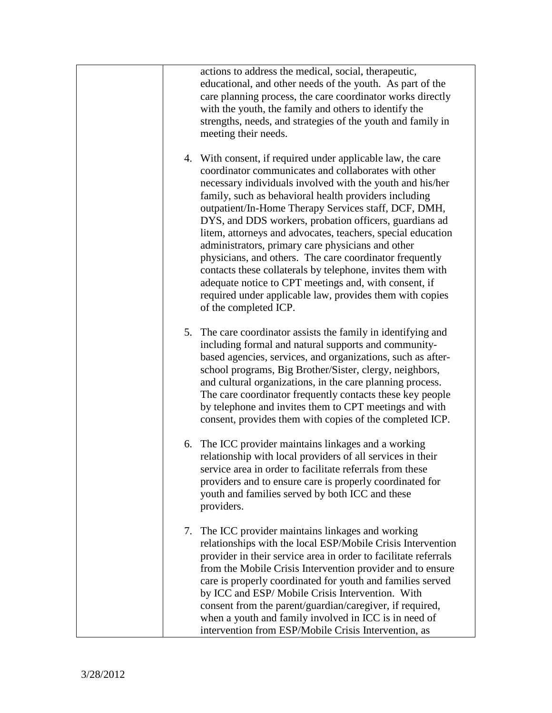|  | actions to address the medical, social, therapeutic,<br>educational, and other needs of the youth. As part of the<br>care planning process, the care coordinator works directly<br>with the youth, the family and others to identify the<br>strengths, needs, and strategies of the youth and family in<br>meeting their needs.                                                                                                                                                                                                                                                                                                                                                                                                                        |
|--|--------------------------------------------------------------------------------------------------------------------------------------------------------------------------------------------------------------------------------------------------------------------------------------------------------------------------------------------------------------------------------------------------------------------------------------------------------------------------------------------------------------------------------------------------------------------------------------------------------------------------------------------------------------------------------------------------------------------------------------------------------|
|  | 4. With consent, if required under applicable law, the care<br>coordinator communicates and collaborates with other<br>necessary individuals involved with the youth and his/her<br>family, such as behavioral health providers including<br>outpatient/In-Home Therapy Services staff, DCF, DMH,<br>DYS, and DDS workers, probation officers, guardians ad<br>litem, attorneys and advocates, teachers, special education<br>administrators, primary care physicians and other<br>physicians, and others. The care coordinator frequently<br>contacts these collaterals by telephone, invites them with<br>adequate notice to CPT meetings and, with consent, if<br>required under applicable law, provides them with copies<br>of the completed ICP. |
|  | 5. The care coordinator assists the family in identifying and<br>including formal and natural supports and community-<br>based agencies, services, and organizations, such as after-<br>school programs, Big Brother/Sister, clergy, neighbors,<br>and cultural organizations, in the care planning process.<br>The care coordinator frequently contacts these key people<br>by telephone and invites them to CPT meetings and with<br>consent, provides them with copies of the completed ICP.                                                                                                                                                                                                                                                        |
|  | 6. The ICC provider maintains linkages and a working<br>relationship with local providers of all services in their<br>service area in order to facilitate referrals from these<br>providers and to ensure care is properly coordinated for<br>youth and families served by both ICC and these<br>providers.                                                                                                                                                                                                                                                                                                                                                                                                                                            |
|  | 7. The ICC provider maintains linkages and working<br>relationships with the local ESP/Mobile Crisis Intervention<br>provider in their service area in order to facilitate referrals<br>from the Mobile Crisis Intervention provider and to ensure<br>care is properly coordinated for youth and families served<br>by ICC and ESP/ Mobile Crisis Intervention. With<br>consent from the parent/guardian/caregiver, if required,<br>when a youth and family involved in ICC is in need of<br>intervention from ESP/Mobile Crisis Intervention, as                                                                                                                                                                                                      |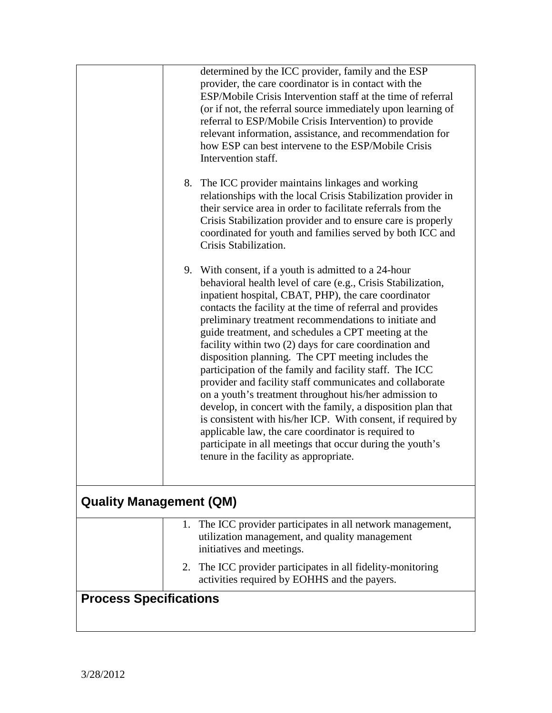|                                |  | determined by the ICC provider, family and the ESP                                                                           |
|--------------------------------|--|------------------------------------------------------------------------------------------------------------------------------|
|                                |  | provider, the care coordinator is in contact with the                                                                        |
|                                |  | ESP/Mobile Crisis Intervention staff at the time of referral<br>(or if not, the referral source immediately upon learning of |
|                                |  | referral to ESP/Mobile Crisis Intervention) to provide                                                                       |
|                                |  | relevant information, assistance, and recommendation for                                                                     |
|                                |  | how ESP can best intervene to the ESP/Mobile Crisis                                                                          |
|                                |  | Intervention staff.                                                                                                          |
|                                |  | 8. The ICC provider maintains linkages and working                                                                           |
|                                |  | relationships with the local Crisis Stabilization provider in                                                                |
|                                |  | their service area in order to facilitate referrals from the<br>Crisis Stabilization provider and to ensure care is properly |
|                                |  | coordinated for youth and families served by both ICC and                                                                    |
|                                |  | Crisis Stabilization.                                                                                                        |
|                                |  | 9. With consent, if a youth is admitted to a 24-hour                                                                         |
|                                |  | behavioral health level of care (e.g., Crisis Stabilization,                                                                 |
|                                |  | inpatient hospital, CBAT, PHP), the care coordinator<br>contacts the facility at the time of referral and provides           |
|                                |  | preliminary treatment recommendations to initiate and                                                                        |
|                                |  | guide treatment, and schedules a CPT meeting at the                                                                          |
|                                |  | facility within two (2) days for care coordination and<br>disposition planning. The CPT meeting includes the                 |
|                                |  | participation of the family and facility staff. The ICC                                                                      |
|                                |  | provider and facility staff communicates and collaborate                                                                     |
|                                |  | on a youth's treatment throughout his/her admission to<br>develop, in concert with the family, a disposition plan that       |
|                                |  | is consistent with his/her ICP. With consent, if required by                                                                 |
|                                |  | applicable law, the care coordinator is required to                                                                          |
|                                |  | participate in all meetings that occur during the youth's                                                                    |
|                                |  | tenure in the facility as appropriate.                                                                                       |
| <b>Quality Management (QM)</b> |  |                                                                                                                              |
|                                |  | 1. The ICC provider participates in all network management,                                                                  |
|                                |  | utilization management, and quality management<br>initiatives and meetings.                                                  |
|                                |  | 2. The ICC provider participates in all fidelity-monitoring                                                                  |
|                                |  | activities required by EOHHS and the payers.                                                                                 |
| <b>Process Specifications</b>  |  |                                                                                                                              |
|                                |  |                                                                                                                              |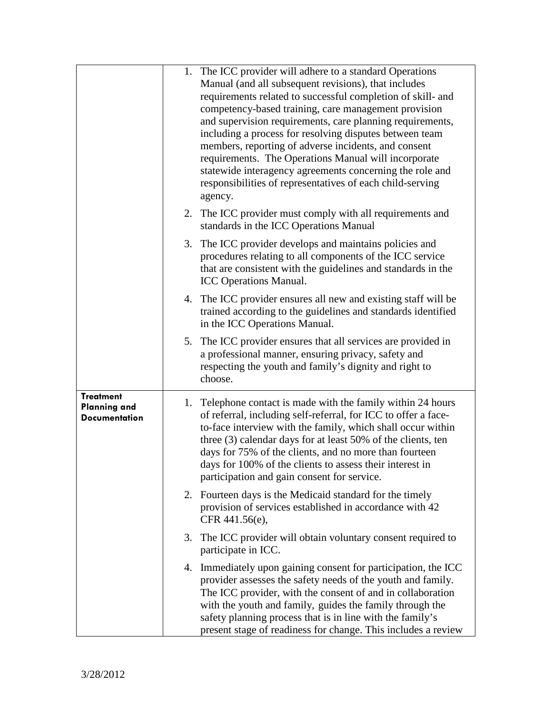|                                                                 |    | 1. The ICC provider will adhere to a standard Operations<br>Manual (and all subsequent revisions), that includes<br>requirements related to successful completion of skill- and<br>competency-based training, care management provision<br>and supervision requirements, care planning requirements,<br>including a process for resolving disputes between team<br>members, reporting of adverse incidents, and consent<br>requirements. The Operations Manual will incorporate<br>statewide interagency agreements concerning the role and<br>responsibilities of representatives of each child-serving<br>agency. |
|-----------------------------------------------------------------|----|---------------------------------------------------------------------------------------------------------------------------------------------------------------------------------------------------------------------------------------------------------------------------------------------------------------------------------------------------------------------------------------------------------------------------------------------------------------------------------------------------------------------------------------------------------------------------------------------------------------------|
|                                                                 |    | 2. The ICC provider must comply with all requirements and<br>standards in the ICC Operations Manual                                                                                                                                                                                                                                                                                                                                                                                                                                                                                                                 |
|                                                                 | 3. | The ICC provider develops and maintains policies and<br>procedures relating to all components of the ICC service<br>that are consistent with the guidelines and standards in the<br><b>ICC Operations Manual.</b>                                                                                                                                                                                                                                                                                                                                                                                                   |
|                                                                 |    | 4. The ICC provider ensures all new and existing staff will be<br>trained according to the guidelines and standards identified<br>in the ICC Operations Manual.                                                                                                                                                                                                                                                                                                                                                                                                                                                     |
|                                                                 |    | 5. The ICC provider ensures that all services are provided in<br>a professional manner, ensuring privacy, safety and<br>respecting the youth and family's dignity and right to<br>choose.                                                                                                                                                                                                                                                                                                                                                                                                                           |
| <b>Treatment</b><br><b>Planning and</b><br><b>Documentation</b> | 1. | Telephone contact is made with the family within 24 hours<br>of referral, including self-referral, for ICC to offer a face-<br>to-face interview with the family, which shall occur within<br>three (3) calendar days for at least 50% of the clients, ten<br>days for 75% of the clients, and no more than fourteen<br>days for 100% of the clients to assess their interest in<br>participation and gain consent for service.                                                                                                                                                                                     |
|                                                                 |    | 2. Fourteen days is the Medicaid standard for the timely<br>provision of services established in accordance with 42<br>CFR 441.56(e),                                                                                                                                                                                                                                                                                                                                                                                                                                                                               |
|                                                                 |    | 3. The ICC provider will obtain voluntary consent required to<br>participate in ICC.                                                                                                                                                                                                                                                                                                                                                                                                                                                                                                                                |
|                                                                 |    | 4. Immediately upon gaining consent for participation, the ICC<br>provider assesses the safety needs of the youth and family.<br>The ICC provider, with the consent of and in collaboration<br>with the youth and family, guides the family through the<br>safety planning process that is in line with the family's<br>present stage of readiness for change. This includes a review                                                                                                                                                                                                                               |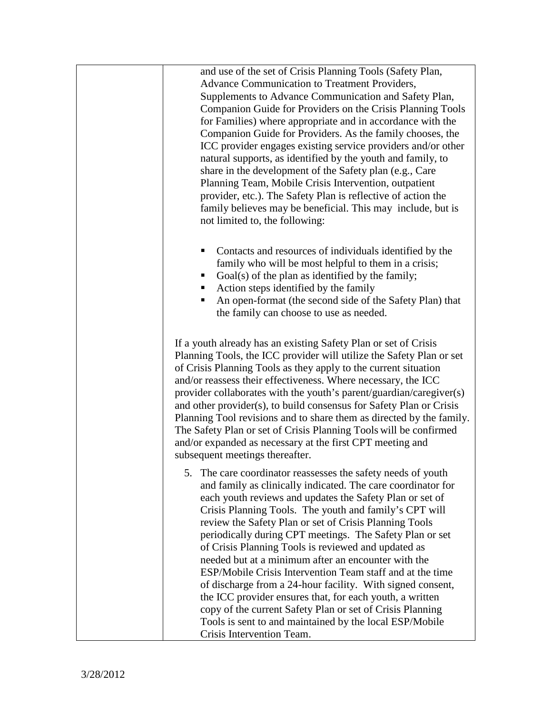and use of the set of Crisis Planning Tools (Safety Plan, Advance Communication to Treatment Providers, Supplements to Advance Communication and Safety Plan, Companion Guide for Providers on the Crisis Planning Tools for Families) where appropriate and in accordance with the Companion Guide for Providers. As the family chooses, the ICC provider engages existing service providers and/or other natural supports, as identified by the youth and family, to share in the development of the Safety plan (e.g., Care Planning Team, Mobile Crisis Intervention, outpatient provider, etc.). The Safety Plan is reflective of action the family believes may be beneficial. This may include, but is not limited to, the following:

- Contacts and resources of individuals identified by the family who will be most helpful to them in a crisis;
- Goal(s) of the plan as identified by the family;
- Action steps identified by the family
- An open-format (the second side of the Safety Plan) that the family can choose to use as needed.

If a youth already has an existing Safety Plan or set of Crisis Planning Tools, the ICC provider will utilize the Safety Plan or set of Crisis Planning Tools as they apply to the current situation and/or reassess their effectiveness. Where necessary, the ICC provider collaborates with the youth's parent/guardian/caregiver(s) and other provider(s), to build consensus for Safety Plan or Crisis Planning Tool revisions and to share them as directed by the family. The Safety Plan or set of Crisis Planning Tools will be confirmed and/or expanded as necessary at the first CPT meeting and subsequent meetings thereafter.

5. The care coordinator reassesses the safety needs of youth and family as clinically indicated. The care coordinator for each youth reviews and updates the Safety Plan or set of Crisis Planning Tools. The youth and family's CPT will review the Safety Plan or set of Crisis Planning Tools periodically during CPT meetings. The Safety Plan or set of Crisis Planning Tools is reviewed and updated as needed but at a minimum after an encounter with the ESP/Mobile Crisis Intervention Team staff and at the time of discharge from a 24-hour facility. With signed consent, the ICC provider ensures that, for each youth, a written copy of the current Safety Plan or set of Crisis Planning Tools is sent to and maintained by the local ESP/Mobile Crisis Intervention Team.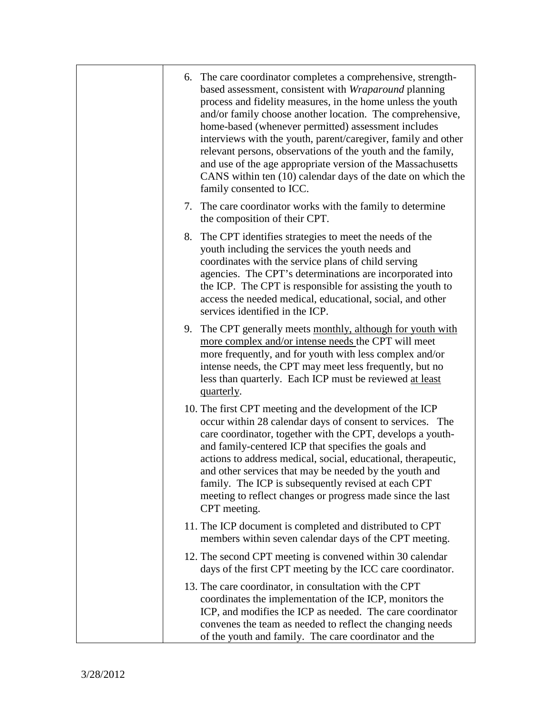| 6. The care coordinator completes a comprehensive, strength-<br>based assessment, consistent with Wraparound planning<br>process and fidelity measures, in the home unless the youth<br>and/or family choose another location. The comprehensive,<br>home-based (whenever permitted) assessment includes<br>interviews with the youth, parent/caregiver, family and other                                                                                                                                   |
|-------------------------------------------------------------------------------------------------------------------------------------------------------------------------------------------------------------------------------------------------------------------------------------------------------------------------------------------------------------------------------------------------------------------------------------------------------------------------------------------------------------|
| relevant persons, observations of the youth and the family,<br>and use of the age appropriate version of the Massachusetts<br>CANS within ten (10) calendar days of the date on which the<br>family consented to ICC.                                                                                                                                                                                                                                                                                       |
| 7. The care coordinator works with the family to determine<br>the composition of their CPT.                                                                                                                                                                                                                                                                                                                                                                                                                 |
| 8. The CPT identifies strategies to meet the needs of the<br>youth including the services the youth needs and<br>coordinates with the service plans of child serving<br>agencies. The CPT's determinations are incorporated into<br>the ICP. The CPT is responsible for assisting the youth to<br>access the needed medical, educational, social, and other<br>services identified in the ICP.                                                                                                              |
| 9. The CPT generally meets monthly, although for youth with<br>more complex and/or intense needs the CPT will meet<br>more frequently, and for youth with less complex and/or<br>intense needs, the CPT may meet less frequently, but no<br>less than quarterly. Each ICP must be reviewed at least<br>quarterly.                                                                                                                                                                                           |
| 10. The first CPT meeting and the development of the ICP<br>occur within 28 calendar days of consent to services. The<br>care coordinator, together with the CPT, develops a youth-<br>and family-centered ICP that specifies the goals and<br>actions to address medical, social, educational, therapeutic,<br>and other services that may be needed by the youth and<br>family. The ICP is subsequently revised at each CPT<br>meeting to reflect changes or progress made since the last<br>CPT meeting. |
| 11. The ICP document is completed and distributed to CPT<br>members within seven calendar days of the CPT meeting.                                                                                                                                                                                                                                                                                                                                                                                          |
| 12. The second CPT meeting is convened within 30 calendar<br>days of the first CPT meeting by the ICC care coordinator.                                                                                                                                                                                                                                                                                                                                                                                     |
| 13. The care coordinator, in consultation with the CPT<br>coordinates the implementation of the ICP, monitors the<br>ICP, and modifies the ICP as needed. The care coordinator<br>convenes the team as needed to reflect the changing needs<br>of the youth and family. The care coordinator and the                                                                                                                                                                                                        |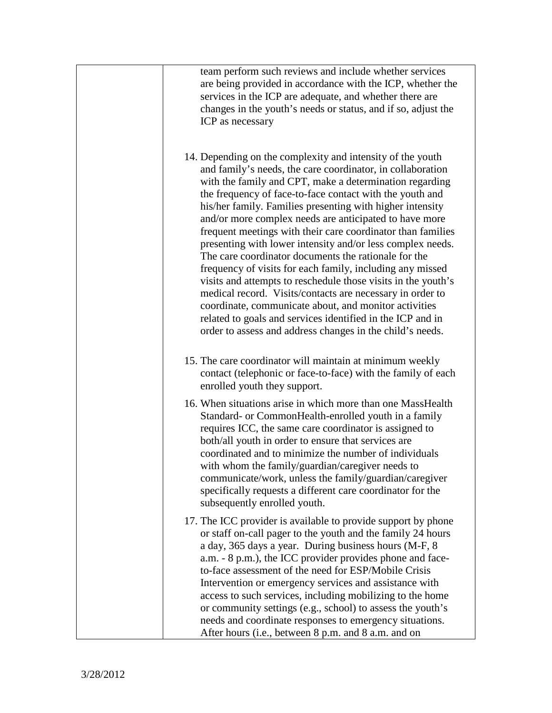| team perform such reviews and include whether services<br>are being provided in accordance with the ICP, whether the<br>services in the ICP are adequate, and whether there are<br>changes in the youth's needs or status, and if so, adjust the<br>ICP as necessary                                                                                                                                                                                                                                                                                                                                                                                                                                                                                                                                                                                                                                                                       |
|--------------------------------------------------------------------------------------------------------------------------------------------------------------------------------------------------------------------------------------------------------------------------------------------------------------------------------------------------------------------------------------------------------------------------------------------------------------------------------------------------------------------------------------------------------------------------------------------------------------------------------------------------------------------------------------------------------------------------------------------------------------------------------------------------------------------------------------------------------------------------------------------------------------------------------------------|
| 14. Depending on the complexity and intensity of the youth<br>and family's needs, the care coordinator, in collaboration<br>with the family and CPT, make a determination regarding<br>the frequency of face-to-face contact with the youth and<br>his/her family. Families presenting with higher intensity<br>and/or more complex needs are anticipated to have more<br>frequent meetings with their care coordinator than families<br>presenting with lower intensity and/or less complex needs.<br>The care coordinator documents the rationale for the<br>frequency of visits for each family, including any missed<br>visits and attempts to reschedule those visits in the youth's<br>medical record. Visits/contacts are necessary in order to<br>coordinate, communicate about, and monitor activities<br>related to goals and services identified in the ICP and in<br>order to assess and address changes in the child's needs. |
| 15. The care coordinator will maintain at minimum weekly<br>contact (telephonic or face-to-face) with the family of each<br>enrolled youth they support.                                                                                                                                                                                                                                                                                                                                                                                                                                                                                                                                                                                                                                                                                                                                                                                   |
| 16. When situations arise in which more than one MassHealth<br>Standard- or CommonHealth-enrolled youth in a family<br>requires ICC, the same care coordinator is assigned to<br>both/all youth in order to ensure that services are<br>coordinated and to minimize the number of individuals<br>with whom the family/guardian/caregiver needs to<br>communicate/work, unless the family/guardian/caregiver<br>specifically requests a different care coordinator for the<br>subsequently enrolled youth.                                                                                                                                                                                                                                                                                                                                                                                                                                  |
| 17. The ICC provider is available to provide support by phone<br>or staff on-call pager to the youth and the family 24 hours<br>a day, 365 days a year. During business hours (M-F, 8)<br>a.m. - 8 p.m.), the ICC provider provides phone and face-<br>to-face assessment of the need for ESP/Mobile Crisis<br>Intervention or emergency services and assistance with<br>access to such services, including mobilizing to the home<br>or community settings (e.g., school) to assess the youth's<br>needs and coordinate responses to emergency situations.<br>After hours (i.e., between 8 p.m. and 8 a.m. and on                                                                                                                                                                                                                                                                                                                         |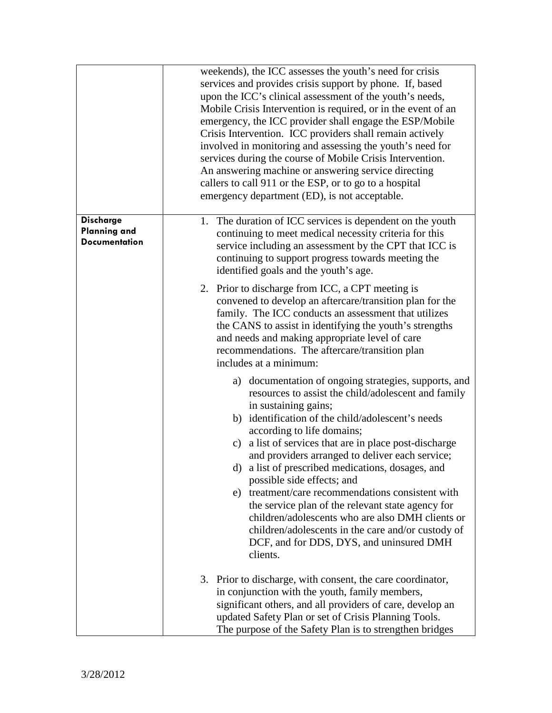|                                                                 | weekends), the ICC assesses the youth's need for crisis<br>services and provides crisis support by phone. If, based<br>upon the ICC's clinical assessment of the youth's needs,<br>Mobile Crisis Intervention is required, or in the event of an<br>emergency, the ICC provider shall engage the ESP/Mobile<br>Crisis Intervention. ICC providers shall remain actively<br>involved in monitoring and assessing the youth's need for<br>services during the course of Mobile Crisis Intervention.<br>An answering machine or answering service directing<br>callers to call 911 or the ESP, or to go to a hospital<br>emergency department (ED), is not acceptable.                                 |
|-----------------------------------------------------------------|-----------------------------------------------------------------------------------------------------------------------------------------------------------------------------------------------------------------------------------------------------------------------------------------------------------------------------------------------------------------------------------------------------------------------------------------------------------------------------------------------------------------------------------------------------------------------------------------------------------------------------------------------------------------------------------------------------|
| <b>Discharge</b><br><b>Planning and</b><br><b>Documentation</b> | 1. The duration of ICC services is dependent on the youth<br>continuing to meet medical necessity criteria for this<br>service including an assessment by the CPT that ICC is<br>continuing to support progress towards meeting the<br>identified goals and the youth's age.                                                                                                                                                                                                                                                                                                                                                                                                                        |
|                                                                 | 2. Prior to discharge from ICC, a CPT meeting is<br>convened to develop an aftercare/transition plan for the<br>family. The ICC conducts an assessment that utilizes<br>the CANS to assist in identifying the youth's strengths<br>and needs and making appropriate level of care<br>recommendations. The aftercare/transition plan<br>includes at a minimum:                                                                                                                                                                                                                                                                                                                                       |
|                                                                 | a) documentation of ongoing strategies, supports, and<br>resources to assist the child/adolescent and family<br>in sustaining gains;<br>b) identification of the child/adolescent's needs<br>according to life domains;<br>c) a list of services that are in place post-discharge<br>and providers arranged to deliver each service;<br>d) a list of prescribed medications, dosages, and<br>possible side effects; and<br>e) treatment/care recommendations consistent with<br>the service plan of the relevant state agency for<br>children/adolescents who are also DMH clients or<br>children/adolescents in the care and/or custody of<br>DCF, and for DDS, DYS, and uninsured DMH<br>clients. |
|                                                                 | 3. Prior to discharge, with consent, the care coordinator,<br>in conjunction with the youth, family members,<br>significant others, and all providers of care, develop an<br>updated Safety Plan or set of Crisis Planning Tools.<br>The purpose of the Safety Plan is to strengthen bridges                                                                                                                                                                                                                                                                                                                                                                                                        |